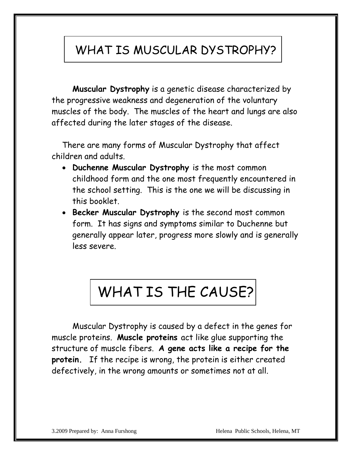### WHAT IS MUSCULAR DYSTROPHY?

**Muscular Dystrophy** is a genetic disease characterized by the progressive weakness and degeneration of the voluntary muscles of the body. The muscles of the heart and lungs are also affected during the later stages of the disease.

There are many forms of Muscular Dystrophy that affect children and adults.

- **Duchenne Muscular Dystrophy** is the most common childhood form and the one most frequently encountered in the school setting. This is the one we will be discussing in this booklet.
- **Becker Muscular Dystrophy** is the second most common form. It has signs and symptoms similar to Duchenne but generally appear later, progress more slowly and is generally less severe.

### WHAT IS THE CAUSE?

Muscular Dystrophy is caused by a defect in the genes for muscle proteins. **Muscle proteins** act like glue supporting the structure of muscle fibers. **A gene acts like a recipe for the protein.** If the recipe is wrong, the protein is either created defectively, in the wrong amounts or sometimes not at all.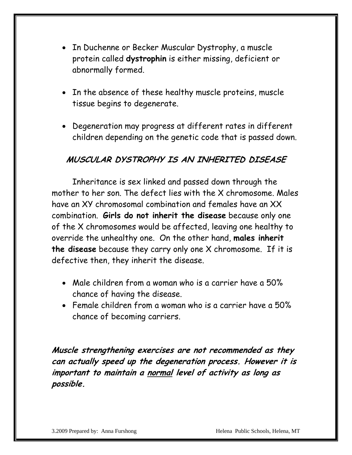- In Duchenne or Becker Muscular Dystrophy, a muscle protein called **dystrophin** is either missing, deficient or abnormally formed.
- In the absence of these healthy muscle proteins, muscle tissue begins to degenerate.
- Degeneration may progress at different rates in different children depending on the genetic code that is passed down.

#### **MUSCULAR DYSTROPHY IS AN INHERITED DISEASE**

Inheritance is sex linked and passed down through the mother to her son. The defect lies with the X chromosome. Males have an XY chromosomal combination and females have an XX combination. **Girls do not inherit the disease** because only one of the X chromosomes would be affected, leaving one healthy to override the unhealthy one. On the other hand, **males inherit the disease** because they carry only one X chromosome. If it is defective then, they inherit the disease.

- Male children from a woman who is a carrier have a 50% chance of having the disease.
- Female children from a woman who is a carrier have a 50% chance of becoming carriers.

**Muscle strengthening exercises are not recommended as they can actually speed up the degeneration process. However it is important to maintain a normal level of activity as long as possible.**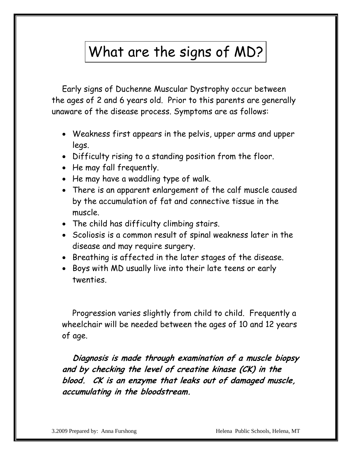## What are the signs of MD?

Early signs of Duchenne Muscular Dystrophy occur between the ages of 2 and 6 years old. Prior to this parents are generally unaware of the disease process. Symptoms are as follows:

- Weakness first appears in the pelvis, upper arms and upper legs.
- Difficulty rising to a standing position from the floor.
- He may fall frequently.
- He may have a waddling type of walk.
- There is an apparent enlargement of the calf muscle caused by the accumulation of fat and connective tissue in the muscle.
- The child has difficulty climbing stairs.
- Scoliosis is a common result of spinal weakness later in the disease and may require surgery.
- Breathing is affected in the later stages of the disease.
- Boys with MD usually live into their late teens or early twenties.

Progression varies slightly from child to child. Frequently a wheelchair will be needed between the ages of 10 and 12 years of age.

**Diagnosis is made through examination of a muscle biopsy and by checking the level of creatine kinase (CK) in the blood. CK is an enzyme that leaks out of damaged muscle, accumulating in the bloodstream.**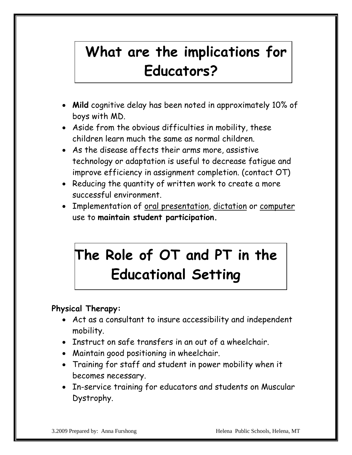# **What are the implications for Educators?**

- **Mild** cognitive delay has been noted in approximately 10% of boys with MD.
- Aside from the obvious difficulties in mobility, these children learn much the same as normal children.
- As the disease affects their arms more, assistive technology or adaptation is useful to decrease fatigue and improve efficiency in assignment completion. (contact OT)
- Reducing the quantity of written work to create a more successful environment.
- Implementation of oral presentation, dictation or computer use to **maintain student participation.**

# **The Role of OT and PT in the Educational Setting**

### **Physical Therapy:**

- Act as a consultant to insure accessibility and independent mobility.
- Instruct on safe transfers in an out of a wheelchair.
- Maintain good positioning in wheelchair.
- Training for staff and student in power mobility when it becomes necessary.
- In-service training for educators and students on Muscular Dystrophy.